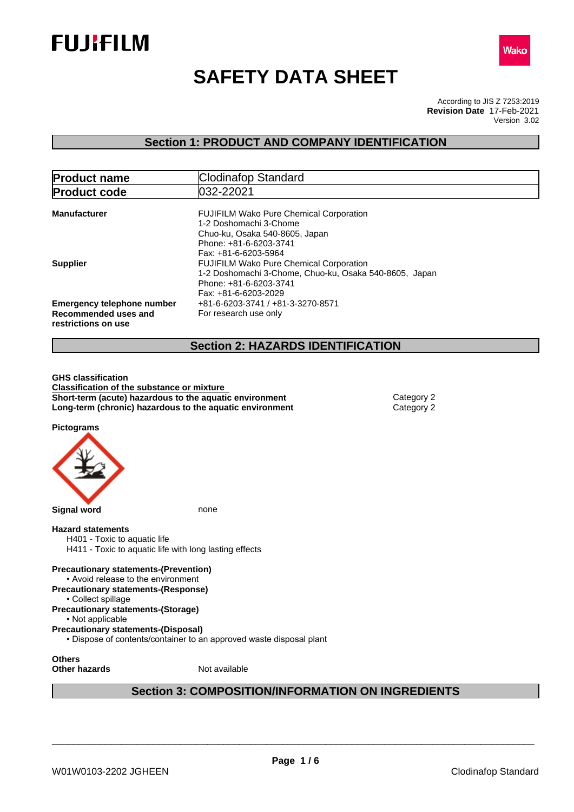



# **SAFETY DATA SHEET**

According to JIS Z 7253:2019 Version 3.02 **Revision Date** 17-Feb-2021

## **Section 1: PRODUCT AND COMPANY IDENTIFICATION**

| <b>Product name</b>                         | Clodinafop Standard                                                              |
|---------------------------------------------|----------------------------------------------------------------------------------|
| <b>Product code</b>                         | 032-22021                                                                        |
| <b>Manufacturer</b>                         | <b>FUJIFILM Wako Pure Chemical Corporation</b><br>1-2 Doshomachi 3-Chome         |
|                                             | Chuo-ku, Osaka 540-8605, Japan<br>Phone: +81-6-6203-3741                         |
| <b>Supplier</b>                             | Fax: +81-6-6203-5964<br><b>FUJIFILM Wako Pure Chemical Corporation</b>           |
|                                             | 1-2 Doshomachi 3-Chome, Chuo-ku, Osaka 540-8605, Japan<br>Phone: +81-6-6203-3741 |
|                                             | Fax: +81-6-6203-2029                                                             |
| <b>Emergency telephone number</b>           | +81-6-6203-3741 / +81-3-3270-8571                                                |
| Recommended uses and<br>restrictions on use | For research use only                                                            |
|                                             |                                                                                  |

## **Section 2: HAZARDS IDENTIFICATION**

**GHS classification Classification of the substance or mixture Short-term (acute) hazardous to the aquatic environment** Category 2 **Long-term (chronic) hazardous to the aquatic environment** Category 2

**Pictograms**



**Other hazards** Not available

## **Section 3: COMPOSITION/INFORMATION ON INGREDIENTS**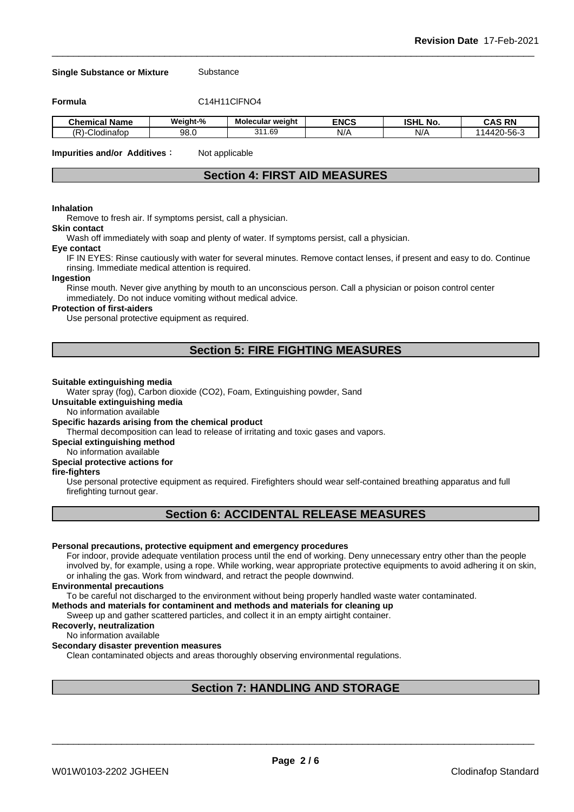#### **Single Substance or Mixture** Substance

**Formula** C14H11ClFNO4

| . .<br>Name<br>Chemical  | Weiaht-% | <b>Molecular weight</b> | <b>ENCS</b> | <b>ISHL No.</b> | <b>RN</b><br>$\ddot{\phantom{1}}$<br>۰Λ۰<br>∼ |
|--------------------------|----------|-------------------------|-------------|-----------------|-----------------------------------------------|
| $\sqrt{2}$<br>Clodinafop | 98.C     | 1.69<br>244             | N/          | NI/<br>N/       | $ \sim$<br>nh.<br>ت 1<br>ູນບ<br>17 J          |

**Impurities and/or Additives**: Not applicable

## **Section 4: FIRST AID MEASURES**

## **Inhalation**

Remove to fresh air. If symptoms persist, call a physician.

#### **Skin contact**

Wash off immediately with soap and plenty of water. If symptoms persist, calla physician.

#### **Eye contact**

IF IN EYES: Rinse cautiously with water for several minutes. Remove contact lenses, if present and easy to do. Continue rinsing. Immediate medical attention is required.

#### **Ingestion**

Rinse mouth. Never give anything by mouth to an unconscious person. Call a physician or poison control center immediately. Do not induce vomiting without medical advice.

#### **Protection of first-aiders**

Use personal protective equipment as required.

## **Section 5: FIRE FIGHTING MEASURES**

#### **Suitable extinguishing media**

Water spray (fog), Carbon dioxide (CO2), Foam, Extinguishing powder, Sand

**Unsuitable extinguishing media**

No information available

#### **Specific hazards arising from the chemical product**

Thermal decomposition can lead to release of irritating and toxic gases and vapors.

**Special extinguishing method**

## No information available

## **Special protective actions for**

## **fire-fighters**

Use personal protective equipment as required.Firefighters should wear self-contained breathing apparatus and full firefighting turnout gear.

## **Section 6: ACCIDENTAL RELEASE MEASURES**

#### **Personal precautions, protective equipment and emergency procedures**

For indoor, provide adequate ventilation process until the end of working. Deny unnecessary entry other than the people involved by, for example, using a rope. While working, wear appropriate protective equipments to avoid adhering it on skin, or inhaling the gas. Work from windward, and retract the people downwind.

#### **Environmental precautions**

To be careful not discharged to the environment without being properly handled waste water contaminated.

## **Methods and materials for contaminent and methods and materials for cleaning up**

Sweep up and gather scattered particles, and collect it in an empty airtight container.

## **Recoverly, neutralization**

#### No information available

#### **Secondary disaster prevention measures**

Clean contaminated objects and areas thoroughly observing environmental regulations.

## **Section 7: HANDLING AND STORAGE**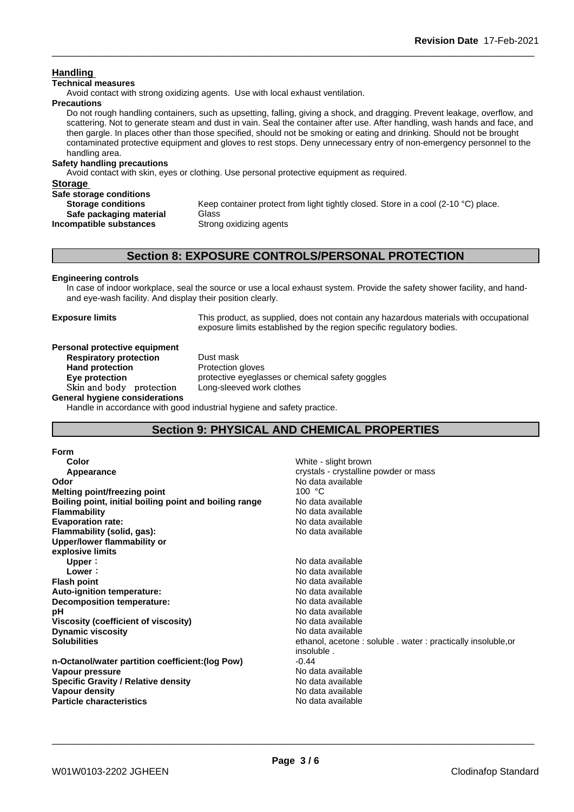## **Handling**

## **Technical measures**

Avoid contact with strong oxidizing agents. Use with local exhaust ventilation.

## **Precautions**

Do not rough handling containers, such as upsetting, falling, giving a shock, and dragging. Prevent leakage, overflow, and scattering. Not to generate steam and dust in vain. Seal the container after use. After handling, wash hands and face, and then gargle. In places other than those specified, should not be smoking or eating and drinking. Should not be brought contaminated protective equipment and gloves to rest stops. Deny unnecessary entry of non-emergency personnel to the handling area.

## **Safety handling precautions**

Avoid contact with skin, eyes or clothing. Use personal protective equipment as required.

| <b>Storage</b>            |                                                                                    |
|---------------------------|------------------------------------------------------------------------------------|
| Safe storage conditions   |                                                                                    |
| <b>Storage conditions</b> | Keep container protect from light tightly closed. Store in a cool (2-10 °C) place. |
| Safe packaging material   | Glass                                                                              |
| Incompatible substances   | Strong oxidizing agents                                                            |
|                           |                                                                                    |

## **Section 8: EXPOSURE CONTROLS/PERSONAL PROTECTION**

## **Engineering controls**

In case of indoor workplace, seal the source or use a local exhaust system. Provide the safety shower facility, and handand eye-wash facility. And display their position clearly.

**Exposure limits** This product, as supplied, does not contain any hazardous materials with occupational exposure limits established by the region specific regulatory bodies.

#### **Personal protective equipment**<br>**Respiratory protection** Dust mask **Respiratory** protection

**Hand protection** Protection gloves **Eye protection Eye protective** eyeglasses or chemical safety goggles **Skinandbody protection** Long-sleeved work clothes

**General hygiene considerations**

Handle in accordance with good industrial hygiene and safety practice.

## **Section 9: PHYSICAL AND CHEMICAL PROPERTIES**

#### **Form**

| Color                                                  | White - slight brown                                         |
|--------------------------------------------------------|--------------------------------------------------------------|
| Appearance                                             | crystals - crystalline powder or mass                        |
| Odor                                                   | No data available                                            |
| Melting point/freezing point                           | 100 °C                                                       |
| Boiling point, initial boiling point and boiling range | No data available                                            |
| <b>Flammability</b>                                    | No data available                                            |
| <b>Evaporation rate:</b>                               | No data available                                            |
| Flammability (solid, gas):                             | No data available                                            |
| Upper/lower flammability or                            |                                                              |
| explosive limits                                       |                                                              |
| Upper:                                                 | No data available                                            |
| Lower:                                                 | No data available                                            |
| <b>Flash point</b>                                     | No data available                                            |
| Auto-ignition temperature:                             | No data available                                            |
| Decomposition temperature:                             | No data available                                            |
| рH                                                     | No data available                                            |
| Viscosity (coefficient of viscosity)                   | No data available                                            |
| <b>Dynamic viscosity</b>                               | No data available                                            |
| <b>Solubilities</b>                                    | ethanol, acetone: soluble . water: practically insoluble, or |
|                                                        | insoluble.                                                   |
| n-Octanol/water partition coefficient: (log Pow)       | $-0.44$                                                      |
| Vapour pressure                                        | No data available                                            |
| <b>Specific Gravity / Relative density</b>             | No data available                                            |
| Vapour density                                         | No data available                                            |
| <b>Particle characteristics</b>                        | No data available                                            |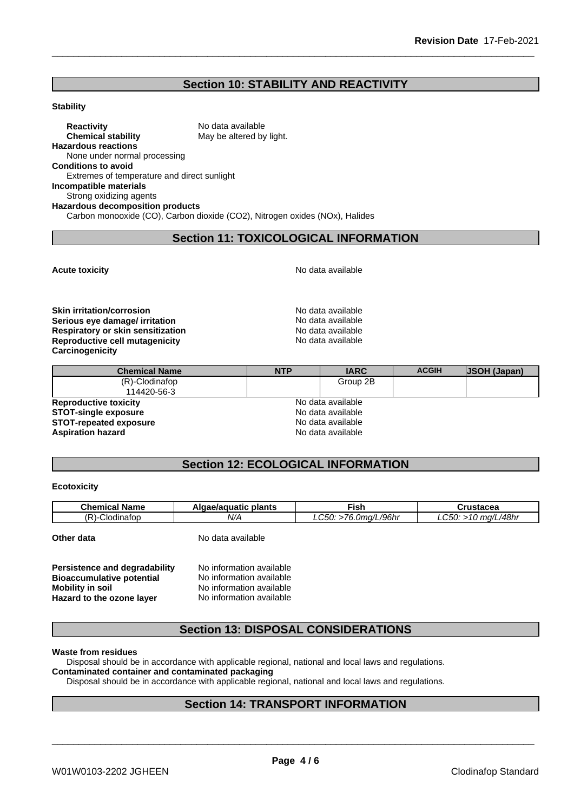## **Section 10: STABILITY AND REACTIVITY**

#### **Stability**

**Reactivity** No data available<br> **Chemical stability** May be altered by May be altered by light. **Hazardous reactions** None under normal processing **Conditions to avoid** Extremes of temperature and direct sunlight **Incompatible materials** Strong oxidizing agents **Hazardous decomposition products** Carbon monooxide (CO), Carbon dioxide (CO2), Nitrogen oxides (NOx), Halides

## **Section 11: TOXICOLOGICAL INFORMATION**

**Acute toxicity Acute toxicity Acute has available No data available** 

**Skin irritation/corrosion**<br> **Serious eve damage/ irritation**<br> **Serious eve damage/ irritation Serious eye damage/ irritation**<br> **Respiratory or skin sensitization**<br> **Respiratory or skin sensitization Respiratory or skin sensitization Reproductive cell mutagenicity** No data available **Carcinogenicity**

| <b>Chemical Name</b>          | <b>NTP</b>        | <b>IARC</b>       | <b>ACGIH</b> | <b>JSOH (Japan)</b> |
|-------------------------------|-------------------|-------------------|--------------|---------------------|
| $(R)$ -Clodinafop             |                   | Group 2B          |              |                     |
| 114420-56-3                   |                   |                   |              |                     |
| <b>Reproductive toxicity</b>  |                   | No data available |              |                     |
| <b>STOT-single exposure</b>   | No data available |                   |              |                     |
| <b>STOT-repeated exposure</b> |                   | No data available |              |                     |
| <b>Aspiration hazard</b>      |                   | No data available |              |                     |

## **Section 12: ECOLOGICAL INFORMATION**

## **Ecotoxicity**

| <b>Chemical Name</b> | Algae/aguatic plants | Fish                 | Crustacea             |
|----------------------|----------------------|----------------------|-----------------------|
| (R)-Clodinafop       | N/A                  | LC50: >76.0mg/L/96hr | $LC50: >10$ mg/L/48hr |
| Other data           | No data available    |                      |                       |

| Persistence and degradability    | No information available |  |
|----------------------------------|--------------------------|--|
| <b>Bioaccumulative potential</b> | No information available |  |
| <b>Mobility in soil</b>          | No information available |  |
| Hazard to the ozone layer        | No information available |  |

## **Section 13: DISPOSAL CONSIDERATIONS**

## **Waste from residues**

Disposal should be in accordance with applicable regional, national and local laws and regulations.

## **Contaminated container and contaminated packaging**

Disposal should be in accordance with applicable regional, national and local laws and regulations.

## **Section 14: TRANSPORT INFORMATION**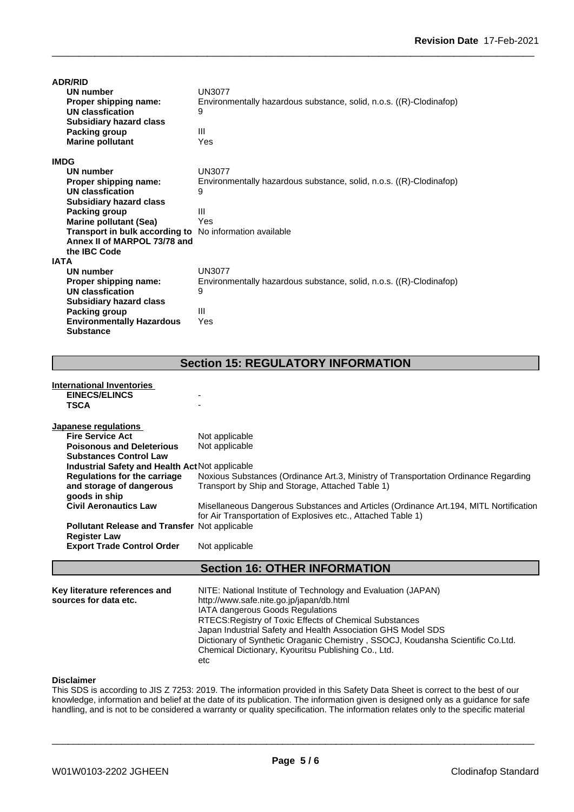| <b>ADR/RID</b>                                                 |                                                                     |
|----------------------------------------------------------------|---------------------------------------------------------------------|
| <b>UN number</b>                                               | UN3077                                                              |
| Proper shipping name:                                          | Environmentally hazardous substance, solid, n.o.s. ((R)-Clodinafop) |
| UN classfication                                               | 9                                                                   |
| <b>Subsidiary hazard class</b>                                 |                                                                     |
| <b>Packing group</b>                                           | Ш                                                                   |
| <b>Marine pollutant</b>                                        | Yes                                                                 |
| <b>IMDG</b>                                                    |                                                                     |
| <b>UN number</b>                                               | UN3077                                                              |
| Proper shipping name:                                          | Environmentally hazardous substance, solid, n.o.s. ((R)-Clodinafop) |
| UN classfication                                               | 9                                                                   |
| <b>Subsidiary hazard class</b>                                 |                                                                     |
| Packing group                                                  | Ш                                                                   |
| <b>Marine pollutant (Sea)</b>                                  | Yes                                                                 |
| <b>Transport in bulk according to</b> No information available |                                                                     |
| Annex II of MARPOL 73/78 and                                   |                                                                     |
| the IBC Code                                                   |                                                                     |
| <b>IATA</b>                                                    |                                                                     |
| UN number                                                      | <b>UN3077</b>                                                       |
| Proper shipping name:                                          | Environmentally hazardous substance, solid, n.o.s. ((R)-Clodinafop) |
| UN classfication                                               | 9                                                                   |
| <b>Subsidiary hazard class</b>                                 |                                                                     |
| Packing group                                                  | Ш                                                                   |
| <b>Environmentally Hazardous</b>                               | Yes                                                                 |
| <b>Substance</b>                                               |                                                                     |

## **Section 15: REGULATORY INFORMATION**

| International Inventories                              |                                                                                        |
|--------------------------------------------------------|----------------------------------------------------------------------------------------|
| <b>EINECS/ELINCS</b>                                   |                                                                                        |
| <b>TSCA</b>                                            |                                                                                        |
| Japanese regulations                                   |                                                                                        |
| <b>Fire Service Act</b>                                | Not applicable                                                                         |
| <b>Poisonous and Deleterious</b>                       | Not applicable                                                                         |
| <b>Substances Control Law</b>                          |                                                                                        |
| <b>Industrial Safety and Health Act Not applicable</b> |                                                                                        |
| <b>Regulations for the carriage</b>                    | Noxious Substances (Ordinance Art.3, Ministry of Transportation Ordinance Regarding    |
| and storage of dangerous                               | Transport by Ship and Storage, Attached Table 1)                                       |
| goods in ship                                          |                                                                                        |
| <b>Civil Aeronautics Law</b>                           | Misellaneous Dangerous Substances and Articles (Ordinance Art. 194, MITL Nortification |
|                                                        | for Air Transportation of Explosives etc., Attached Table 1)                           |
| <b>Pollutant Release and Transfer Not applicable</b>   |                                                                                        |
| <b>Register Law</b>                                    |                                                                                        |
| <b>Export Trade Control Order</b>                      | Not applicable                                                                         |
|                                                        | <b>Section 16: OTHER INFORMATION</b>                                                   |
|                                                        |                                                                                        |
| Key literature references and                          | NITE: National Institute of Technology and Evaluation (JAPAN)                          |
| sources for data etc.                                  | http://www.safe.nite.go.jp/japan/db.html                                               |
|                                                        |                                                                                        |

IATA dangerous Goods Regulations RTECS:Registry of Toxic Effects of Chemical Substances Japan Industrial Safety and Health Association GHS Model SDS Dictionary of Synthetic Oraganic Chemistry , SSOCJ, Koudansha Scientific Co.Ltd. Chemical Dictionary, Kyouritsu Publishing Co., Ltd. etc

## **Disclaimer**

This SDS is according to JIS Z 7253: 2019. The information provided in this Safety Data Sheet is correct to the best of our knowledge, information and belief at the date of its publication. The information given is designed only as a guidance for safe handling, and is not to be considered a warranty or quality specification. The information relates only to the specific material